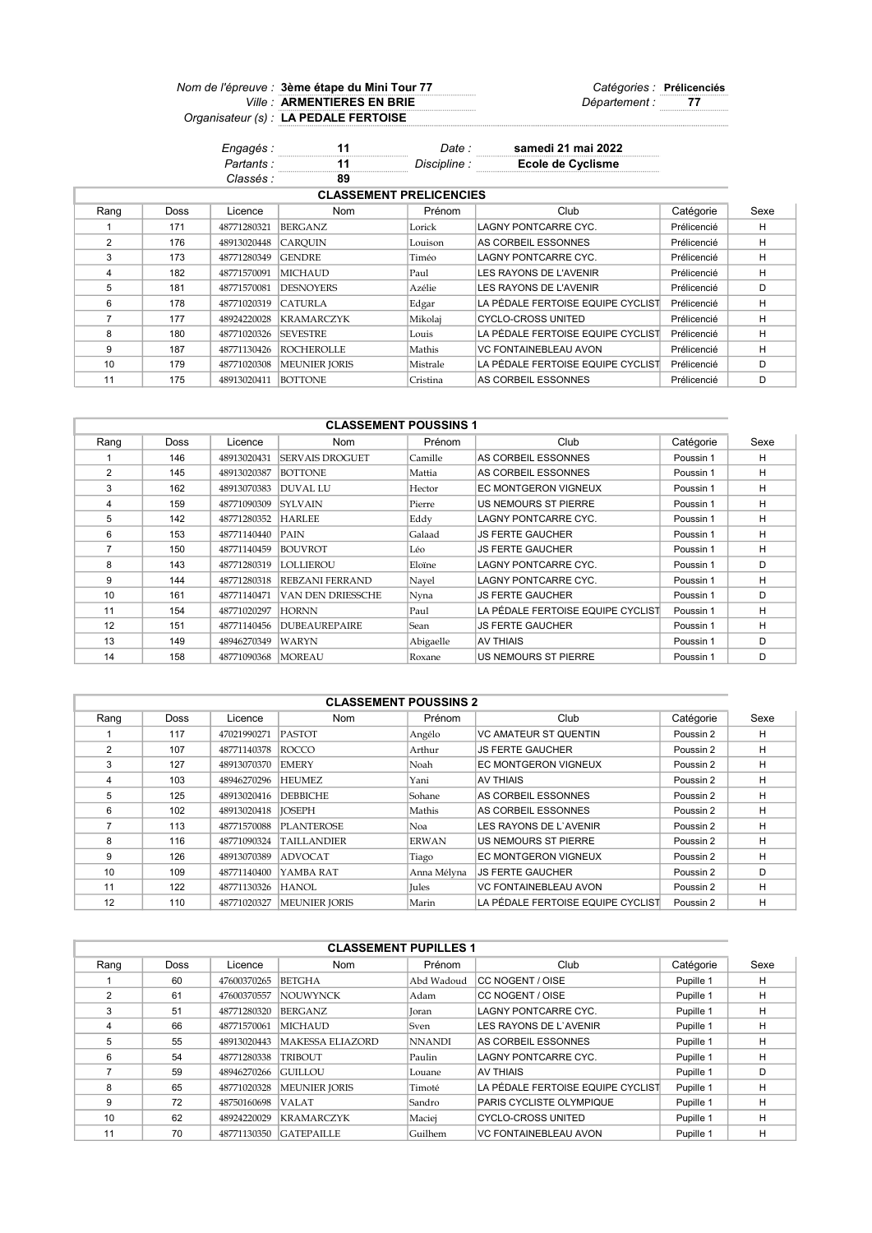## Nom de l'épreuve : 3ème étape du Mini Tour 77 du mandieur de la Catégories : Prélicenciés Ville : ARMENTIERES EN BRIE Département : 77 Organisateur (s) : LA PEDALE FERTOISE 3ème étape du Mini Tour 77 ARMENTIERES EN BRIE

| Engagés :  |    | Date :       | samedi 21 mai 2022 |
|------------|----|--------------|--------------------|
| Partants : |    | Discipline : | Ecole de Cyclisme  |
| Classés :  | 89 |              |                    |

| <b>CLASSEMENT PRELICENCIES</b> |             |             |                      |          |                                   |             |      |  |  |
|--------------------------------|-------------|-------------|----------------------|----------|-----------------------------------|-------------|------|--|--|
| Rang                           | <b>Doss</b> | Licence     | <b>Nom</b>           | Prénom   | Club                              | Catégorie   | Sexe |  |  |
|                                | 171         | 48771280321 | BERGANZ              | Lorick   | LAGNY PONTCARRE CYC.              | Prélicencié | н    |  |  |
| $\mathfrak{p}$                 | 176         | 48913020448 | <b>CAROUIN</b>       | Louison  | AS CORBEIL ESSONNES               | Prélicencié | H    |  |  |
| 3                              | 173         | 48771280349 | <b>GENDRE</b>        | Timéo    | LAGNY PONTCARRE CYC.              | Prélicencié | H    |  |  |
| 4                              | 182         | 48771570091 | <b>MICHAUD</b>       | Paul     | LES RAYONS DE L'AVENIR            | Prélicencié | H    |  |  |
| 5                              | 181         | 48771570081 | <b>DESNOYERS</b>     | Azélie   | LES RAYONS DE L'AVENIR            | Prélicencié | D    |  |  |
| 6                              | 178         | 48771020319 | CATURLA              | Edgar    | LA PÉDALE FERTOISE EQUIPE CYCLIST | Prélicencié | H    |  |  |
|                                | 177         | 48924220028 | <b>KRAMARCZYK</b>    | Mikolaj  | CYCLO-CROSS UNITED                | Prélicencié | H    |  |  |
| 8                              | 180         | 48771020326 | <b>SEVESTRE</b>      | Louis    | LA PÉDALE FERTOISE EQUIPE CYCLIST | Prélicencié | н    |  |  |
| 9                              | 187         | 48771130426 | <b>ROCHEROLLE</b>    | Mathis   | VC FONTAINEBLEAU AVON             | Prélicencié | н    |  |  |
| 10                             | 179         | 48771020308 | <b>MEUNIER JORIS</b> | Mistrale | LA PÉDALE FERTOISE EQUIPE CYCLIST | Prélicencié | D    |  |  |
| 11                             | 175         | 48913020411 | <b>BOTTONE</b>       | Cristina | AS CORBEIL ESSONNES               | Prélicencié | D    |  |  |

| <b>CLASSEMENT POUSSINS 1</b> |             |             |                        |           |                                   |           |      |  |  |
|------------------------------|-------------|-------------|------------------------|-----------|-----------------------------------|-----------|------|--|--|
| Rang                         | <b>Doss</b> | Licence     | Nom                    | Prénom    | Club                              | Catégorie | Sexe |  |  |
|                              | 146         | 48913020431 | <b>SERVAIS DROGUET</b> | Camille   | AS CORBEIL ESSONNES               | Poussin 1 | H    |  |  |
| 2                            | 145         | 48913020387 | <b>BOTTONE</b>         | Mattia    | AS CORBEIL ESSONNES               | Poussin 1 | н    |  |  |
| 3                            | 162         | 48913070383 | <b>DUVAL LU</b>        | Hector    | EC MONTGERON VIGNEUX              | Poussin 1 | H    |  |  |
| 4                            | 159         | 48771090309 | <b>SYLVAIN</b>         | Pierre    | <b>US NEMOURS ST PIERRE</b>       | Poussin 1 | H    |  |  |
| 5                            | 142         | 48771280352 | <b>HARLEE</b>          | Eddy      | LAGNY PONTCARRE CYC.              | Poussin 1 | H    |  |  |
| 6                            | 153         | 48771140440 | PAIN                   | Galaad    | <b>JS FERTE GAUCHER</b>           | Poussin 1 | H    |  |  |
| $\overline{7}$               | 150         | 48771140459 | <b>BOUVROT</b>         | Léo       | <b>JS FERTE GAUCHER</b>           | Poussin 1 | H    |  |  |
| 8                            | 143         | 48771280319 | LOLLIEROU              | Eloïne    | <b>LAGNY PONTCARRE CYC.</b>       | Poussin 1 | D    |  |  |
| 9                            | 144         | 48771280318 | <b>REBZANI FERRAND</b> | Nayel     | LAGNY PONTCARRE CYC.              | Poussin 1 | H    |  |  |
| 10                           | 161         | 48771140471 | VAN DEN DRIESSCHE      | Nyna      | <b>JS FERTE GAUCHER</b>           | Poussin 1 | D    |  |  |
| 11                           | 154         | 48771020297 | <b>HORNN</b>           | Paul      | LA PÉDALE FERTOISE EQUIPE CYCLIST | Poussin 1 | H    |  |  |
| 12                           | 151         | 48771140456 | <b>DUBEAUREPAIRE</b>   | Sean      | JS FERTE GAUCHER                  | Poussin 1 | н    |  |  |
| 13                           | 149         | 48946270349 | <b>WARYN</b>           | Abigaelle | AV THIAIS                         | Poussin 1 | D    |  |  |
| 14                           | 158         | 48771090368 | MOREAU                 | Roxane    | US NEMOURS ST PIERRE              | Poussin 1 | D    |  |  |

| <b>CLASSEMENT POUSSINS 2</b> |             |             |                      |              |                                   |           |      |  |  |
|------------------------------|-------------|-------------|----------------------|--------------|-----------------------------------|-----------|------|--|--|
| Rang                         | <b>Doss</b> | Licence     | <b>Nom</b>           | Prénom       | Club                              | Catégorie | Sexe |  |  |
|                              | 117         | 47021990271 | <b>PASTOT</b>        | Angélo       | <b>VC AMATEUR ST QUENTIN</b>      | Poussin 2 | н    |  |  |
| $\overline{2}$               | 107         | 48771140378 | <b>ROCCO</b>         | Arthur       | <b>JS FERTE GAUCHER</b>           | Poussin 2 | н    |  |  |
| 3                            | 127         | 48913070370 | <b>EMERY</b>         | Noah         | EC MONTGERON VIGNEUX              | Poussin 2 | H    |  |  |
| 4                            | 103         | 48946270296 | <b>HEUMEZ</b>        | Yani         | <b>AV THIAIS</b>                  | Poussin 2 | H    |  |  |
| 5                            | 125         | 48913020416 | <b>DEBBICHE</b>      | Sohane       | AS CORBEIL ESSONNES               | Poussin 2 | н    |  |  |
| 6                            | 102         | 48913020418 | <b>IOSEPH</b>        | Mathis       | AS CORBEIL ESSONNES               | Poussin 2 | н    |  |  |
|                              | 113         | 48771570088 | <b>PLANTEROSE</b>    | Noa          | LES RAYONS DE L'AVENIR            | Poussin 2 | H    |  |  |
| 8                            | 116         | 48771090324 | <b>TAILLANDIER</b>   | <b>ERWAN</b> | US NEMOURS ST PIERRE              | Poussin 2 | H    |  |  |
| g                            | 126         | 48913070389 | <b>ADVOCAT</b>       | Tiago        | EC MONTGERON VIGNEUX              | Poussin 2 | Н    |  |  |
| 10                           | 109         | 48771140400 | YAMBA RAT            | Anna Mélyna  | <b>JS FERTE GAUCHER</b>           | Poussin 2 | D    |  |  |
| 11                           | 122         | 48771130326 | HANOL                | <b>Iules</b> | <b>VC FONTAINEBLEAU AVON</b>      | Poussin 2 | H    |  |  |
| 12                           | 110         | 48771020327 | <b>MEUNIER JORIS</b> | Marin        | LA PÉDALE FERTOISE EQUIPE CYCLIST | Poussin 2 | н    |  |  |

| <b>CLASSEMENT PUPILLES 1</b> |      |             |                         |               |                                   |           |      |  |  |  |
|------------------------------|------|-------------|-------------------------|---------------|-----------------------------------|-----------|------|--|--|--|
| Rang                         | Doss | Licence     | <b>Nom</b>              | Prénom        | Club                              | Catégorie | Sexe |  |  |  |
|                              | 60   | 47600370265 | <b>BETGHA</b>           | Abd Wadoud    | CC NOGENT / OISE                  | Pupille 1 | н    |  |  |  |
| 2                            | 61   | 47600370557 | <b>NOUWYNCK</b>         | Adam          | CC NOGENT / OISE                  | Pupille 1 | н    |  |  |  |
| З                            | 51   | 48771280320 | <b>BERGANZ</b>          | Joran         | LAGNY PONTCARRE CYC.              | Pupille 1 | н    |  |  |  |
| 4                            | 66   | 48771570061 | <b>MICHAUD</b>          | Sven          | LES RAYONS DE L'AVENIR            | Pupille 1 | H    |  |  |  |
| 5                            | 55   | 48913020443 | <b>MAKESSA ELIAZORD</b> | <b>NNANDI</b> | AS CORBEIL ESSONNES               | Pupille 1 | н    |  |  |  |
| 6                            | 54   | 48771280338 | <b>TRIBOUT</b>          | Paulin        | LAGNY PONTCARRE CYC.              | Pupille 1 | н    |  |  |  |
|                              | 59   | 48946270266 | <b>GUILLOU</b>          | Louane        | AV THIAIS                         | Pupille 1 | D    |  |  |  |
| 8                            | 65   | 48771020328 | <b>MEUNIER IORIS</b>    | Timoté        | LA PÉDALE FERTOISE EQUIPE CYCLIST | Pupille 1 | н    |  |  |  |
| 9                            | 72   | 48750160698 | <b>VALAT</b>            | Sandro        | PARIS CYCLISTE OLYMPIQUE          | Pupille 1 | н    |  |  |  |
| 10                           | 62   | 48924220029 | <b>KRAMARCZYK</b>       | Maciej        | <b>CYCLO-CROSS UNITED</b>         | Pupille 1 | н    |  |  |  |
| 11                           | 70   | 48771130350 | <b>GATEPAILLE</b>       | Guilhem       | <b>VC FONTAINEBLEAU AVON</b>      | Pupille 1 | н    |  |  |  |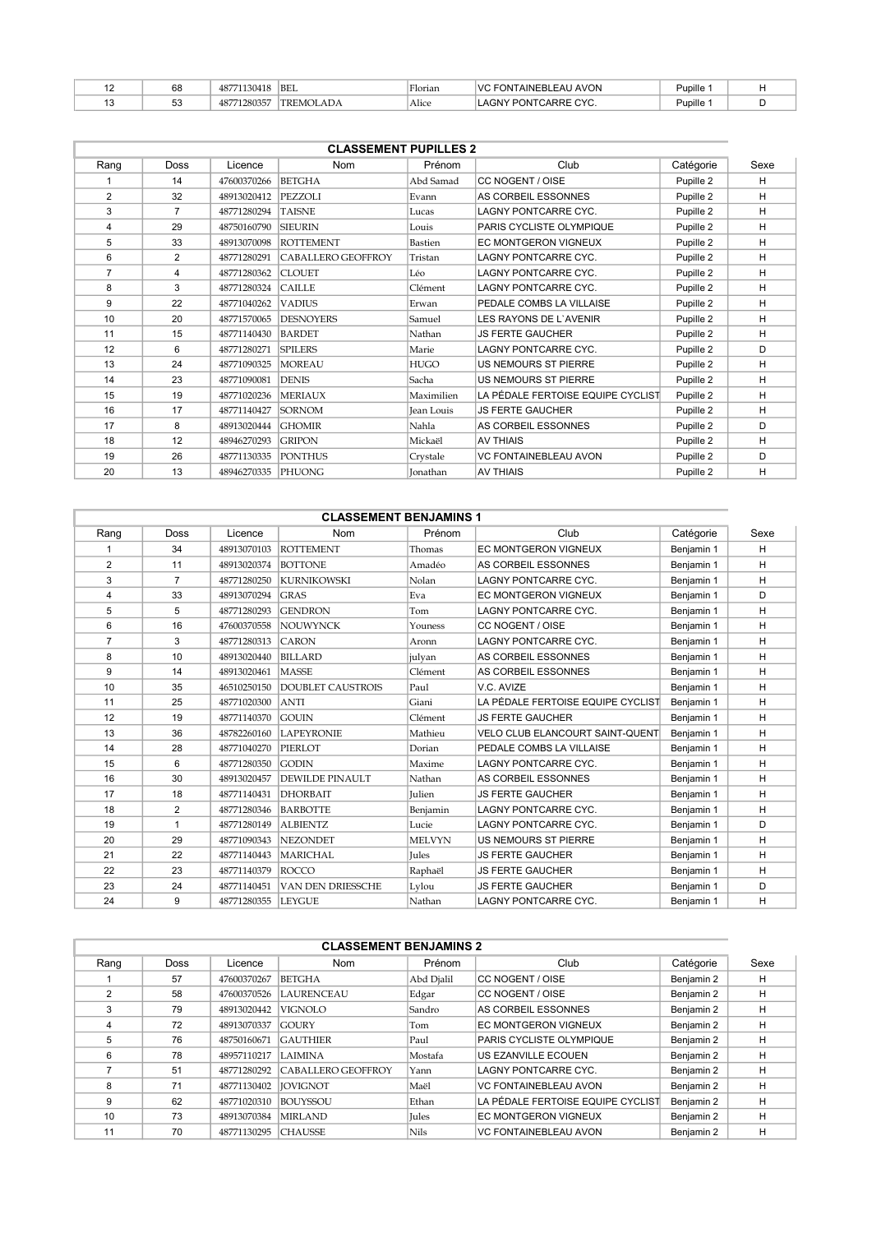| 68           | 71130418<br>4877 | <b>BEL</b>       | $-1$<br>'Florian | <b>VC FONTAINEBLEAU AVON</b> | Pupille ∵ |  |
|--------------|------------------|------------------|------------------|------------------------------|-----------|--|
| $\sim$<br>ეკ | 71280357<br>487  | <b>TREMOLADA</b> | Alice            | LAGNY PONTCARRE CYC.         | Pupille   |  |

| <b>CLASSEMENT PUPILLES 2</b> |                |             |                    |                 |                                   |           |      |  |  |
|------------------------------|----------------|-------------|--------------------|-----------------|-----------------------------------|-----------|------|--|--|
| Rang                         | <b>Doss</b>    | Licence     | <b>Nom</b>         | Prénom          | Club                              | Catégorie | Sexe |  |  |
|                              | 14             | 47600370266 | <b>BETGHA</b>      | Abd Samad       | CC NOGENT / OISE                  | Pupille 2 | H    |  |  |
| $\overline{2}$               | 32             | 48913020412 | PEZZOLI            | Evann           | AS CORBEIL ESSONNES               | Pupille 2 | H    |  |  |
| 3                            | $\overline{7}$ | 48771280294 | <b>TAISNE</b>      | Lucas           | <b>LAGNY PONTCARRE CYC.</b>       | Pupille 2 | H    |  |  |
| 4                            | 29             | 48750160790 | <b>SIEURIN</b>     | Louis           | PARIS CYCLISTE OLYMPIQUE          | Pupille 2 | H    |  |  |
| 5                            | 33             | 48913070098 | <b>ROTTEMENT</b>   | Bastien         | EC MONTGERON VIGNEUX              | Pupille 2 | H    |  |  |
| 6                            | 2              | 48771280291 | CABALLERO GEOFFROY | Tristan         | LAGNY PONTCARRE CYC.              | Pupille 2 | H    |  |  |
| 7                            | 4              | 48771280362 | <b>CLOUET</b>      | Léo             | LAGNY PONTCARRE CYC.              | Pupille 2 | H    |  |  |
| 8                            | 3              | 48771280324 | <b>CAILLE</b>      | Clément         | LAGNY PONTCARRE CYC.              | Pupille 2 | H    |  |  |
| 9                            | 22             | 48771040262 | <b>VADIUS</b>      | Erwan           | PEDALE COMBS LA VILLAISE          | Pupille 2 | H    |  |  |
| 10                           | 20             | 48771570065 | <b>DESNOYERS</b>   | Samuel          | LES RAYONS DE L'AVENIR            | Pupille 2 | H    |  |  |
| 11                           | 15             | 48771140430 | <b>BARDET</b>      | Nathan          | <b>JS FERTE GAUCHER</b>           | Pupille 2 | H    |  |  |
| 12                           | 6              | 48771280271 | <b>SPILERS</b>     | Marie           | LAGNY PONTCARRE CYC.              | Pupille 2 | D    |  |  |
| 13                           | 24             | 48771090325 | <b>MOREAU</b>      | <b>HUGO</b>     | <b>US NEMOURS ST PIERRE</b>       | Pupille 2 | H    |  |  |
| 14                           | 23             | 48771090081 | <b>DENIS</b>       | Sacha           | <b>US NEMOURS ST PIERRE</b>       | Pupille 2 | H    |  |  |
| 15                           | 19             | 48771020236 | <b>MERIAUX</b>     | Maximilien      | LA PÉDALE FERTOISE EQUIPE CYCLIST | Pupille 2 | H    |  |  |
| 16                           | 17             | 48771140427 | <b>SORNOM</b>      | Jean Louis      | <b>JS FERTE GAUCHER</b>           | Pupille 2 | H    |  |  |
| 17                           | 8              | 48913020444 | <b>GHOMIR</b>      | Nahla           | AS CORBEIL ESSONNES               | Pupille 2 | D    |  |  |
| 18                           | 12             | 48946270293 | <b>GRIPON</b>      | Mickaël         | <b>AV THIAIS</b>                  | Pupille 2 | H    |  |  |
| 19                           | 26             | 48771130335 | <b>PONTHUS</b>     | Crystale        | <b>VC FONTAINEBLEAU AVON</b>      | Pupille 2 | D    |  |  |
| 20                           | 13             | 48946270335 | PHUONG             | <b>Ionathan</b> | <b>AV THIAIS</b>                  | Pupille 2 | H    |  |  |

|                | <b>CLASSEMENT BENJAMINS 1</b> |             |                          |               |                                        |            |      |  |  |  |  |  |
|----------------|-------------------------------|-------------|--------------------------|---------------|----------------------------------------|------------|------|--|--|--|--|--|
| Rang           | Doss                          | Licence     | Nom                      | Prénom        | Club                                   | Catégorie  | Sexe |  |  |  |  |  |
|                | 34                            | 48913070103 | <b>ROTTEMENT</b>         | Thomas        | EC MONTGERON VIGNEUX                   | Benjamin 1 | H    |  |  |  |  |  |
| 2              | 11                            | 48913020374 | <b>BOTTONE</b>           | Amadéo        | AS CORBEIL ESSONNES                    | Benjamin 1 | H    |  |  |  |  |  |
| 3              | 7                             | 48771280250 | <b>KURNIKOWSKI</b>       | Nolan         | <b>LAGNY PONTCARRE CYC.</b>            | Benjamin 1 | H    |  |  |  |  |  |
| 4              | 33                            | 48913070294 | <b>GRAS</b>              | Eva           | EC MONTGERON VIGNEUX                   | Benjamin 1 | D    |  |  |  |  |  |
| 5              | 5                             | 48771280293 | <b>GENDRON</b>           | Tom           | LAGNY PONTCARRE CYC.                   | Benjamin 1 | H    |  |  |  |  |  |
| 6              | 16                            | 47600370558 | <b>NOUWYNCK</b>          | Youness       | CC NOGENT / OISE                       | Benjamin 1 | H    |  |  |  |  |  |
| $\overline{7}$ | 3                             | 48771280313 | <b>CARON</b>             | Aronn         | <b>LAGNY PONTCARRE CYC.</b>            | Benjamin 1 | H    |  |  |  |  |  |
| 8              | 10                            | 48913020440 | <b>BILLARD</b>           | julyan        | AS CORBEIL ESSONNES                    | Benjamin 1 | H    |  |  |  |  |  |
| 9              | 14                            | 48913020461 | <b>MASSE</b>             | Clément       | AS CORBEIL ESSONNES                    | Benjamin 1 | H    |  |  |  |  |  |
| 10             | 35                            | 46510250150 | <b>DOUBLET CAUSTROIS</b> | Paul          | V.C. AVIZE                             | Benjamin 1 | H    |  |  |  |  |  |
| 11             | 25                            | 48771020300 | <b>ANTI</b>              | Giani         | LA PÉDALE FERTOISE EQUIPE CYCLIST      | Benjamin 1 | H    |  |  |  |  |  |
| 12             | 19                            | 48771140370 | <b>GOUIN</b>             | Clément       | <b>JS FERTE GAUCHER</b>                | Benjamin 1 | H    |  |  |  |  |  |
| 13             | 36                            | 48782260160 | <b>LAPEYRONIE</b>        | Mathieu       | <b>VELO CLUB ELANCOURT SAINT-QUENT</b> | Benjamin 1 | H    |  |  |  |  |  |
| 14             | 28                            | 48771040270 | PIERLOT                  | Dorian        | PEDALE COMBS LA VILLAISE               | Benjamin 1 | H    |  |  |  |  |  |
| 15             | 6                             | 48771280350 | <b>GODIN</b>             | Maxime        | <b>LAGNY PONTCARRE CYC.</b>            | Benjamin 1 | H    |  |  |  |  |  |
| 16             | 30                            | 48913020457 | <b>DEWILDE PINAULT</b>   | Nathan        | AS CORBEIL ESSONNES                    | Benjamin 1 | H    |  |  |  |  |  |
| 17             | 18                            | 48771140431 | <b>DHORBAIT</b>          | Julien        | <b>JS FERTE GAUCHER</b>                | Benjamin 1 | H    |  |  |  |  |  |
| 18             | 2                             | 48771280346 | <b>BARBOTTE</b>          | Benjamin      | <b>LAGNY PONTCARRE CYC.</b>            | Benjamin 1 | H    |  |  |  |  |  |
| 19             | $\mathbf{1}$                  | 48771280149 | <b>ALBIENTZ</b>          | Lucie         | <b>LAGNY PONTCARRE CYC.</b>            | Benjamin 1 | D    |  |  |  |  |  |
| 20             | 29                            | 48771090343 | <b>NEZONDET</b>          | <b>MELVYN</b> | US NEMOURS ST PIERRE                   | Benjamin 1 | H    |  |  |  |  |  |
| 21             | 22                            | 48771140443 | <b>MARICHAL</b>          | <b>Iules</b>  | <b>JS FERTE GAUCHER</b>                | Benjamin 1 | H    |  |  |  |  |  |
| 22             | 23                            | 48771140379 | <b>ROCCO</b>             | Raphaël       | <b>JS FERTE GAUCHER</b>                | Benjamin 1 | H    |  |  |  |  |  |
| 23             | 24                            | 48771140451 | VAN DEN DRIESSCHE        | Lylou         | <b>JS FERTE GAUCHER</b>                | Benjamin 1 | D    |  |  |  |  |  |
| 24             | 9                             | 48771280355 | <b>LEYGUE</b>            | Nathan        | <b>LAGNY PONTCARRE CYC.</b>            | Benjamin 1 | H    |  |  |  |  |  |

| <b>CLASSEMENT BENJAMINS 2</b> |             |             |                    |              |                                   |            |      |  |  |  |  |
|-------------------------------|-------------|-------------|--------------------|--------------|-----------------------------------|------------|------|--|--|--|--|
| Rang                          | <b>Doss</b> | Licence     | <b>Nom</b>         | Prénom       | Club                              | Catégorie  | Sexe |  |  |  |  |
|                               | 57          | 47600370267 | <b>BETGHA</b>      | Abd Djalil   | CC NOGENT / OISE                  | Benjamin 2 | H    |  |  |  |  |
| 2                             | 58          | 47600370526 | <b>LAURENCEAU</b>  | Edgar        | CC NOGENT / OISE                  | Benjamin 2 | н    |  |  |  |  |
| 3                             | 79          | 48913020442 | <b>VIGNOLO</b>     | Sandro       | AS CORBEIL ESSONNES               | Benjamin 2 | H    |  |  |  |  |
| 4                             | 72          | 48913070337 | <b>GOURY</b>       | Tom          | EC MONTGERON VIGNEUX              | Benjamin 2 | H    |  |  |  |  |
| 5                             | 76          | 48750160671 | <b>GAUTHIER</b>    | Paul         | PARIS CYCLISTE OLYMPIQUE          | Benjamin 2 | H    |  |  |  |  |
| 6                             | 78          | 48957110217 | <b>LAIMINA</b>     | Mostafa      | US EZANVILLE ECOUEN               | Benjamin 2 | H    |  |  |  |  |
|                               | 51          | 48771280292 | CABALLERO GEOFFROY | Yann         | LAGNY PONTCARRE CYC.              | Benjamin 2 | н    |  |  |  |  |
| 8                             | 71          | 48771130402 | <b>IOVIGNOT</b>    | Maël         | <b>VC FONTAINEBLEAU AVON</b>      | Benjamin 2 | н    |  |  |  |  |
| 9                             | 62          | 48771020310 | <b>BOUYSSOU</b>    | Ethan        | LA PÉDALE FERTOISE EQUIPE CYCLIST | Benjamin 2 | н    |  |  |  |  |
| 10                            | 73          | 48913070384 | <b>MIRLAND</b>     | <b>Iules</b> | EC MONTGERON VIGNEUX              | Benjamin 2 | H    |  |  |  |  |
| 11                            | 70          | 48771130295 | <b>CHAUSSE</b>     | Nils         | <b>VC FONTAINEBLEAU AVON</b>      | Benjamin 2 | н    |  |  |  |  |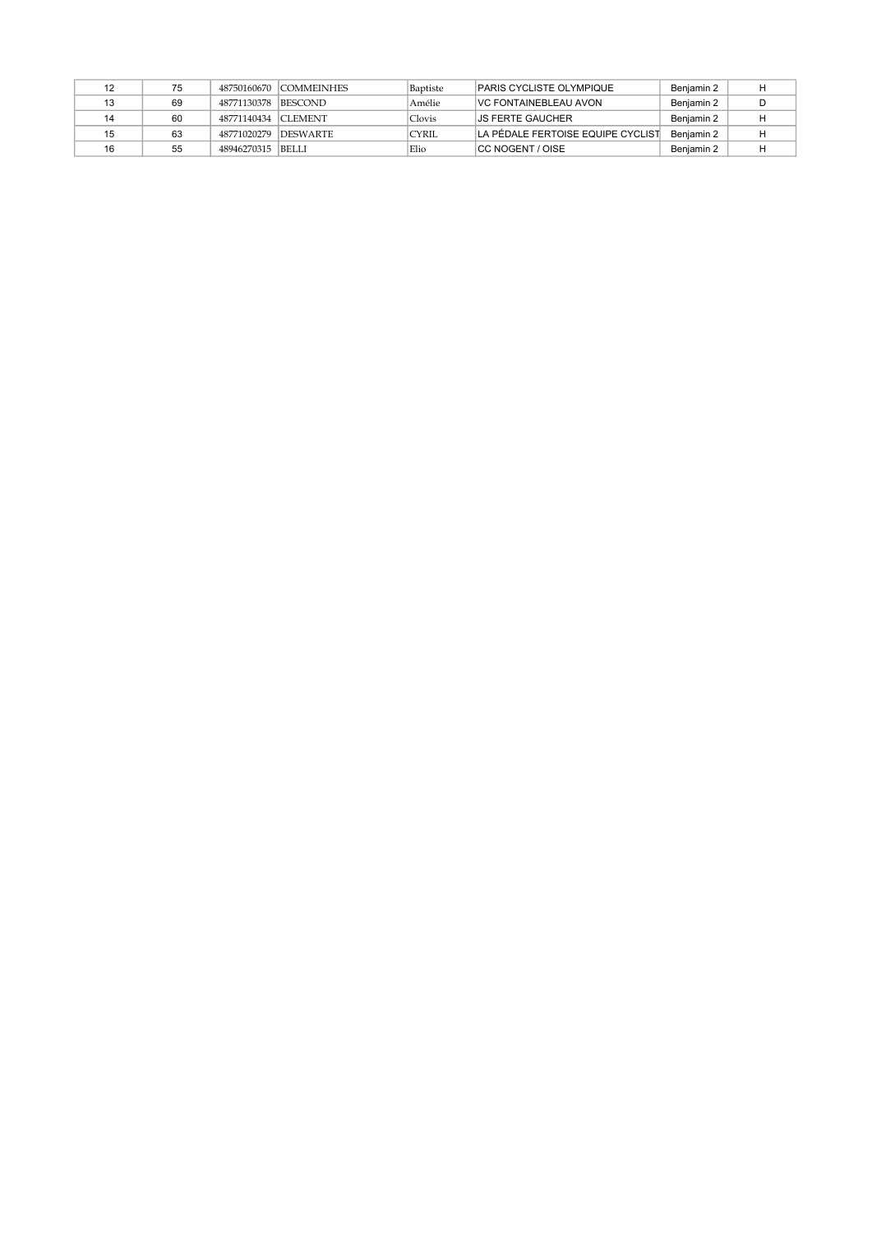|    | 75 |                     | 48750160670 COMMEINHES | Baptiste     | PARIS CYCLISTE OLYMPIQUE          | Beniamin 2 |   |
|----|----|---------------------|------------------------|--------------|-----------------------------------|------------|---|
| 13 | 69 | 48771130378         | <b>BESCOND</b>         | Amélie       | <b>VC FONTAINEBLEAU AVON</b>      | Beniamin 2 | D |
| 14 | 60 | 48771140434 CLEMENT |                        | Clovis       | IJS FERTE GAUCHER                 | Beniamin 2 |   |
| 15 | 63 | 48771020279         | <b>DESWARTE</b>        | <b>CYRIL</b> | LA PÉDALE FERTOISE EQUIPE CYCLIST | Beniamin 2 |   |
| 16 | 55 | 48946270315 BELLI   |                        | Elio         | ICC NOGENT / OISE                 | Benjamin 2 |   |